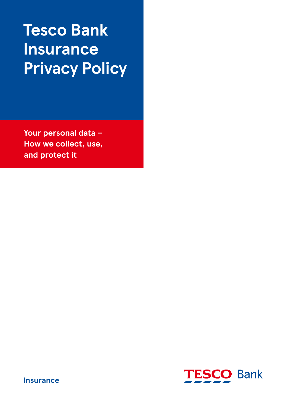# **Tesco Bank Insurance Privacy Policy**

**Your personal data – How we collect, use, and protect it**



**Insurance**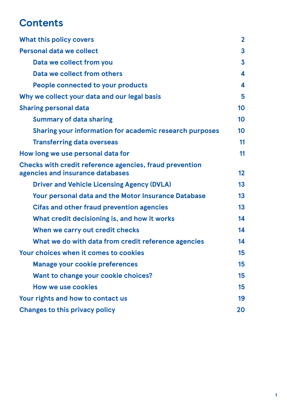## **Contents**

| <b>What this policy covers</b>                                                                     | $\mathbf{2}$    |
|----------------------------------------------------------------------------------------------------|-----------------|
| Personal data we collect                                                                           | 3               |
| Data we collect from you                                                                           | 3               |
| Data we collect from others                                                                        | 4               |
| People connected to your products                                                                  | 4               |
| Why we collect your data and our legal basis                                                       | 5               |
| <b>Sharing personal data</b>                                                                       | 10              |
| <b>Summary of data sharing</b>                                                                     | 10 <sup>1</sup> |
| Sharing your information for academic research purposes                                            | 10              |
| <b>Transferring data overseas</b>                                                                  | 11              |
| How long we use personal data for                                                                  | 11              |
| <b>Checks with credit reference agencies, fraud prevention</b><br>agencies and insurance databases | 12              |
| <b>Driver and Vehicle Licensing Agency (DVLA)</b>                                                  | 13              |
| Your personal data and the Motor Insurance Database                                                | 13              |
| <b>Cifas and other fraud prevention agencies</b>                                                   | 13              |
| What credit decisioning is, and how it works                                                       | 14              |
| When we carry out credit checks                                                                    | 14              |
| What we do with data from credit reference agencies                                                | 14              |
| Your choices when it comes to cookies                                                              | 15              |
| <b>Manage your cookie preferences</b>                                                              | 15              |
| Want to change your cookie choices?                                                                | 15              |
| <b>How we use cookies</b>                                                                          | 15              |
| Your rights and how to contact us                                                                  | 19              |
| <b>Changes to this privacy policy</b>                                                              | 20              |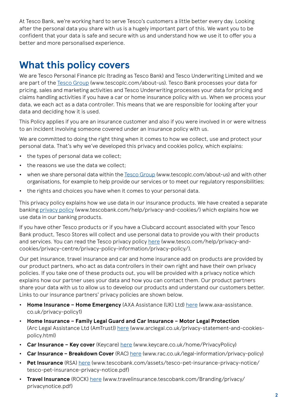<span id="page-2-0"></span>At Tesco Bank, we're working hard to serve Tesco's customers a little better every day. Looking after the personal data you share with us is a hugely important part of this. We want you to be confident that your data is safe and secure with us and understand how we use it to offer you a better and more personalised experience.

## **What this policy covers**

We are Tesco Personal Finance plc (trading as Tesco Bank) and Tesco Underwriting Limited and we are part of the [Tesco Group](http://www.tescoplc.com/about-us) (www.tescoplc.com/about-us). Tesco Bank processes your data for pricing, sales and marketing activities and Tesco Underwriting processes your data for pricing and claims handling activities if you have a car or home insurance policy with us. When we process your data, we each act as a data controller. This means that we are responsible for looking after your data and deciding how it is used.

This Policy applies if you are an insurance customer and also if you were involved in or were witness to an incident involving someone covered under an insurance policy with us.

We are committed to doing the right thing when it comes to how we collect, use and protect your personal data. That's why we've developed this privacy and cookies policy, which explains:

- **•** the types of personal data we collect;
- **•** the reasons we use the data we collect;
- **•** when we share personal data within the [Tesco Group](http://www.tescoplc.com/about-us) (www.tescoplc.com/about-us) and with other organisations, for example to help provide our services or to meet our regulatory responsibilities;
- **•** the rights and choices you have when it comes to your personal data.

This privacy policy explains how we use data in our insurance products. We have created a separate banking [privacy policy](https://www.tescobank.com/help/privacy-and-cookies/) (www.tescobank.com/help/privacy-and-cookies/) which explains how we use data in our banking products.

If you have other Tesco products or if you have a Clubcard account associated with your Tesco Bank product, Tesco Stores will collect and use personal data to provide you with their products and services. You can read the Tesco privacy policy [here](www.tesco.com/help/privacy-and-cookies/privacy-centre/privacy-policy-information/privacy-policy/) (www.tesco.com/help/privacy-andcookies/privacy-centre/privacy-policy-information/privacy-policy/).

Our pet insurance, travel insurance and car and home insurance add on products are provided by our product partners, who act as data controllers in their own right and have their own privacy policies. If you take one of these products out, you will be provided with a privacy notice which explains how our partner uses your data and how you can contact them. Our product partners share your data with us to allow us to develop our products and understand our customers better. Links to our insurance partners' privacy policies are shown below.

- **• Home Insurance Home Emergency** (AXA Assistance (UK) Ltd) [here](https://www.axa-assistance.co.uk/privacy-policy1) (www.axa-assistance. co.uk/privacy-policy1)
- **• Home Insurance Family Legal Guard and Car Insurance Motor Legal Protection** (Arc Legal Assistance Ltd (AmTrust)) [here](https://www.arclegal.co.uk/privacy-statement-and-cookies-policy.html) (www.arclegal.co.uk/privacy-statement-and-cookiespolicy.html)
- **• Car Insurance Key cover** (Keycare) [here](https://www.keycare.co.uk/home/PrivacyPolicy) (www.keycare.co.uk/home/PrivacyPolicy)
- **• Car Insurance Breakdown Cover** (RAC) [here](https://www.rac.co.uk/legal-information/privacy-policy) (www.rac.co.uk/legal-information/privacy-policy)
- **• Pet Insurance** (RSA) [here](https://www.tescobank.com/assets/tesco-pet-insurance-privacy-notice/tesco-pet-insurance-privacy-notice.pdf) (www.tescobank.com/assets/tesco-pet-insurance-privacy-notice/ tesco-pet-insurance-privacy-notice.pdf)
- **• Travel Insurance** (ROCK) [here](https://travelinsurance.tescobank.com/Branding/privacy/privacynotice.pdf) (www.travelinsurance.tescobank.com/Branding/privacy/ privacynotice.pdf)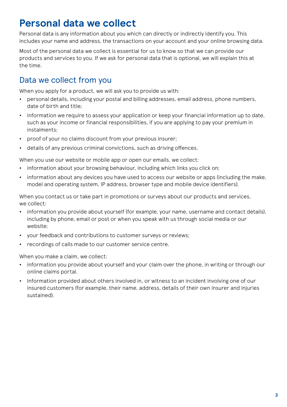## <span id="page-3-0"></span>**Personal data we collect**

Personal data is any information about you which can directly or indirectly identify you. This includes your name and address, the transactions on your account and your online browsing data.

Most of the personal data we collect is essential for us to know so that we can provide our products and services to you. If we ask for personal data that is optional, we will explain this at the time.

#### Data we collect from you

When you apply for a product, we will ask you to provide us with:

- **•** personal details, including your postal and billing addresses, email address, phone numbers, date of birth and title;
- **•** information we require to assess your application or keep your financial information up to date, such as your income or financial responsibilities, if you are applying to pay your premium in instalments;
- **•** proof of your no claims discount from your previous insurer;
- **•** details of any previous criminal convictions, such as driving offences.

When you use our website or mobile app or open our emails, we collect:

- **•** information about your browsing behaviour, including which links you click on;
- **•** information about any devices you have used to access our website or apps (including the make, model and operating system, IP address, browser type and mobile device identifiers).

When you contact us or take part in promotions or surveys about our products and services, we collect:

- **•** information you provide about yourself (for example, your name, username and contact details), including by phone, email or post or when you speak with us through social media or our website;
- **•** your feedback and contributions to customer surveys or reviews;
- **•** recordings of calls made to our customer service centre.

When you make a claim, we collect:

- **•** information you provide about yourself and your claim over the phone, in writing or through our online claims portal.
- **•** Information provided about others involved in, or witness to an incident involving one of our insured customers (for example, their name, address, details of their own insurer and injuries sustained).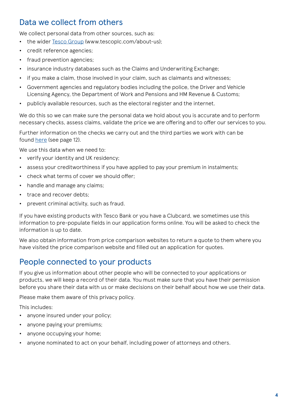#### <span id="page-4-0"></span>Data we collect from others

We collect personal data from other sources, such as:

- **•** the wider [Tesco Group](http://www.tescoplc.com/about-us) (www.tescoplc.com/about-us);
- **•** credit reference agencies;
- **•** fraud prevention agencies;
- **•** insurance industry databases such as the Claims and Underwriting Exchange;
- **•** if you make a claim, those involved in your claim, such as claimants and witnesses;
- **•** Government agencies and regulatory bodies including the police, the Driver and Vehicle Licensing Agency, the Department of Work and Pensions and HM Revenue & Customs;
- **•** publicly available resources, such as the electoral register and the internet.

We do this so we can make sure the personal data we hold about you is accurate and to perform necessary checks, assess claims, validate the price we are offering and to offer our services to you.

Further information on the checks we carry out and the third parties we work with can be found [here](#page-12-0) (see page 12).

We use this data when we need to:

- **•** verify your identity and UK residency;
- **•** assess your creditworthiness if you have applied to pay your premium in instalments;
- **•** check what terms of cover we should offer;
- **•** handle and manage any claims;
- **•** trace and recover debts;
- **•** prevent criminal activity, such as fraud.

If you have existing products with Tesco Bank or you have a Clubcard, we sometimes use this information to pre-populate fields in our application forms online. You will be asked to check the information is up to date.

We also obtain information from price comparison websites to return a quote to them where you have visited the price comparison website and filled out an application for quotes.

#### People connected to your products

If you give us information about other people who will be connected to your applications or products, we will keep a record of their data. You must make sure that you have their permission before you share their data with us or make decisions on their behalf about how we use their data.

Please make them aware of this privacy policy.

This includes:

- **•** anyone insured under your policy;
- **•** anyone paying your premiums;
- **•** anyone occupying your home;
- **•** anyone nominated to act on your behalf, including power of attorneys and others.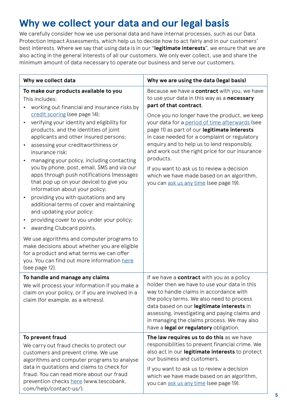## <span id="page-5-0"></span>**Why we collect your data and our legal basis**

We carefully consider how we use personal data and have internal processes, such as our Data Protection Impact Assessments, which help us to decide how to act fairly and in our customers' best interests. Where we say that using data is in our "**legitimate interests**", we ensure that we are also acting in the general interests of all our customers. We only ever collect, use and share the minimum amount of data necessary to operate our business and serve our customers.

| Why we collect data                                                                                                                                                                                                                                                                                                                                                                                                                                                                                                                                                                               | Why we are using the data (legal basis)                                                                                                                                                                                                                                                                                                                                                                                                                                                                                                                                    |
|---------------------------------------------------------------------------------------------------------------------------------------------------------------------------------------------------------------------------------------------------------------------------------------------------------------------------------------------------------------------------------------------------------------------------------------------------------------------------------------------------------------------------------------------------------------------------------------------------|----------------------------------------------------------------------------------------------------------------------------------------------------------------------------------------------------------------------------------------------------------------------------------------------------------------------------------------------------------------------------------------------------------------------------------------------------------------------------------------------------------------------------------------------------------------------------|
| To make our products available to you<br>This includes:<br>working out financial and insurance risks by<br>credit scoring (see page 14);<br>verifying your identity and eligibility for<br>products, and the identities of joint<br>applicants and other insured persons;<br>assessing your creditworthiness or<br>insurance risk:<br>managing your policy, including contacting<br>you by phone, post, email, SMS and via our<br>apps through push notifications (messages<br>that pop up on your device) to give you<br>information about your policy;<br>providing you with quotations and any | Because we have a contract with you, we have<br>to use your data in this way as a necessary<br>part of that contract.<br>Once you no longer have the product, we keep<br>your data for a period of time afterwards (see<br>page 11) as part of our legitimate interests<br>in case needed for a complaint or regulatory<br>enquiry and to help us to lend responsibly,<br>and work out the right price for our insurance<br>products.<br>If you want to ask us to review a decision<br>which we have made based on an algorithm,<br>you can ask us any time (see page 19). |
| additional terms of cover and maintaining<br>and updating your policy;<br>providing cover to you under your policy;<br>awarding Clubcard points.<br>We use algorithms and computer programs to<br>make decisions about whether you are eligible<br>for a product and what terms we can offer<br>you. You can find out more information here<br>(see page 12).                                                                                                                                                                                                                                     |                                                                                                                                                                                                                                                                                                                                                                                                                                                                                                                                                                            |
| To handle and manage any claims<br>We will process your information if you make a<br>claim on your policy, or if you are involved in a<br>claim (for example, as a witness).                                                                                                                                                                                                                                                                                                                                                                                                                      | If we have a contract with you as a policy<br>holder then we have to use your data in this<br>way to handle claims in accordance with<br>the policy terms. We also need to process<br>data based on our legitimate interests in<br>assessing, investigating and paying claims and<br>in managing the claims process. We may also<br>have a legal or regulatory obligation.                                                                                                                                                                                                 |
| To prevent fraud<br>We carry out fraud checks to protect our<br>customers and prevent crime. We use<br>algorithms and computer programs to analyse<br>data in quotations and claims to check for<br>fraud. You can read more about our fraud<br>prevention checks here (www.tescobank.<br>com/help/contact-us/).                                                                                                                                                                                                                                                                                  | The law requires us to do this as we have<br>responsibilities to prevent financial crime. We<br>also act in our legitimate interests to protect<br>our business and customers.<br>If you want to ask us to review a decision<br>which we have made based on an algorithm,<br>you can ask us any time (see page 19).                                                                                                                                                                                                                                                        |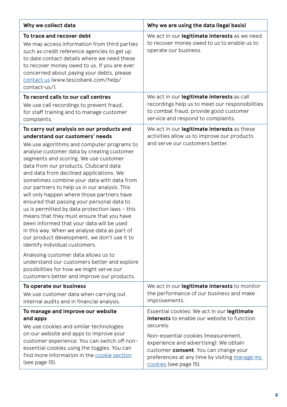| Why we collect data                                                                                                                                                                                                                                                                                                                                                                                                                                                                                                                                                                                                                                                                                                                                                                                                                                                            | Why we are using the data (legal basis)                                                                               |
|--------------------------------------------------------------------------------------------------------------------------------------------------------------------------------------------------------------------------------------------------------------------------------------------------------------------------------------------------------------------------------------------------------------------------------------------------------------------------------------------------------------------------------------------------------------------------------------------------------------------------------------------------------------------------------------------------------------------------------------------------------------------------------------------------------------------------------------------------------------------------------|-----------------------------------------------------------------------------------------------------------------------|
| To trace and recover debt<br>We may access information from third parties<br>such as credit reference agencies to get up<br>to date contact details where we need these<br>to recover money owed to us. If you are ever<br>concerned about paying your debts, please<br>contact us (www.tescobank.com/help/<br>contact-us/).                                                                                                                                                                                                                                                                                                                                                                                                                                                                                                                                                   | We act in our legitimate interests as we need<br>to recover money owed to us to enable us to<br>operate our business. |
| To record calls to our call centres                                                                                                                                                                                                                                                                                                                                                                                                                                                                                                                                                                                                                                                                                                                                                                                                                                            | We act in our legitimate interests as call                                                                            |
| We use call recordings to prevent fraud,                                                                                                                                                                                                                                                                                                                                                                                                                                                                                                                                                                                                                                                                                                                                                                                                                                       | recordings help us to meet our responsibilities                                                                       |
| for staff training and to manage customer                                                                                                                                                                                                                                                                                                                                                                                                                                                                                                                                                                                                                                                                                                                                                                                                                                      | to combat fraud, provide good customer                                                                                |
| complaints.                                                                                                                                                                                                                                                                                                                                                                                                                                                                                                                                                                                                                                                                                                                                                                                                                                                                    | service and respond to complaints.                                                                                    |
| To carry out analysis on our products and                                                                                                                                                                                                                                                                                                                                                                                                                                                                                                                                                                                                                                                                                                                                                                                                                                      | We act in our legitimate interests as these                                                                           |
| understand our customers' needs                                                                                                                                                                                                                                                                                                                                                                                                                                                                                                                                                                                                                                                                                                                                                                                                                                                | activities allow us to improve our products                                                                           |
| We use algorithms and computer programs to<br>analyse customer data by creating customer<br>segments and scoring. We use customer<br>data from our products, Clubcard data<br>and data from declined applications. We<br>sometimes combine your data with data from<br>our partners to help us in our analysis. This<br>will only happen where those partners have<br>ensured that passing your personal data to<br>us is permitted by data protection laws - this<br>means that they must ensure that you have<br>been informed that your data will be used<br>in this way. When we analyse data as part of<br>our product development, we don't use it to<br>identify individual customers.<br>Analysing customer data allows us to<br>understand our customers better and explore<br>possibilities for how we might serve our<br>customers better and improve our products. | and serve our customers better.                                                                                       |
| To operate our business                                                                                                                                                                                                                                                                                                                                                                                                                                                                                                                                                                                                                                                                                                                                                                                                                                                        | We act in our legitimate interests to monitor                                                                         |
| We use customer data when carrying out                                                                                                                                                                                                                                                                                                                                                                                                                                                                                                                                                                                                                                                                                                                                                                                                                                         | the performance of our business and make                                                                              |
| internal audits and in financial analysis.                                                                                                                                                                                                                                                                                                                                                                                                                                                                                                                                                                                                                                                                                                                                                                                                                                     | improvements.                                                                                                         |
| To manage and improve our website                                                                                                                                                                                                                                                                                                                                                                                                                                                                                                                                                                                                                                                                                                                                                                                                                                              | Essential cookies: We act in our legitimate                                                                           |
| and apps                                                                                                                                                                                                                                                                                                                                                                                                                                                                                                                                                                                                                                                                                                                                                                                                                                                                       | interests to enable our website to function                                                                           |
| We use cookies and similar technologies                                                                                                                                                                                                                                                                                                                                                                                                                                                                                                                                                                                                                                                                                                                                                                                                                                        | securely.                                                                                                             |
| on our website and apps to improve your                                                                                                                                                                                                                                                                                                                                                                                                                                                                                                                                                                                                                                                                                                                                                                                                                                        | Non-essential cookies (measurement,                                                                                   |
| customer experience. You can switch off non-                                                                                                                                                                                                                                                                                                                                                                                                                                                                                                                                                                                                                                                                                                                                                                                                                                   | experience and advertising): We obtain                                                                                |
| essential cookies using the toggles. You can                                                                                                                                                                                                                                                                                                                                                                                                                                                                                                                                                                                                                                                                                                                                                                                                                                   | customer consent. You can change your                                                                                 |
| find more information in the cookie section                                                                                                                                                                                                                                                                                                                                                                                                                                                                                                                                                                                                                                                                                                                                                                                                                                    | preferences at any time by visiting manage my                                                                         |
| (see page 15).                                                                                                                                                                                                                                                                                                                                                                                                                                                                                                                                                                                                                                                                                                                                                                                                                                                                 | cookies (see page 15).                                                                                                |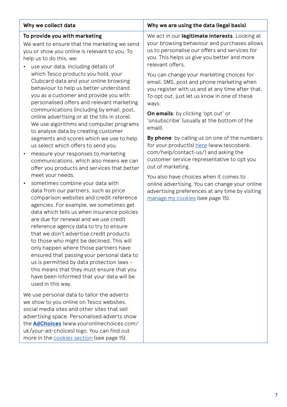| Why we collect data                                                                                                                                                                                                                                                                                                                                                                                                                                                                                                                                                                                                                           | Why we are using the data (legal basis)                                                                                                                                                                            |
|-----------------------------------------------------------------------------------------------------------------------------------------------------------------------------------------------------------------------------------------------------------------------------------------------------------------------------------------------------------------------------------------------------------------------------------------------------------------------------------------------------------------------------------------------------------------------------------------------------------------------------------------------|--------------------------------------------------------------------------------------------------------------------------------------------------------------------------------------------------------------------|
| To provide you with marketing<br>We want to ensure that the marketing we send<br>you or show you online is relevant to you. To<br>help us to do this, we:<br>use your data, including details of                                                                                                                                                                                                                                                                                                                                                                                                                                              | We act in our legitimate interests. Looking at<br>your browsing behaviour and purchases allows<br>us to personalise our offers and services for<br>you. This helps us give you better and more<br>relevant offers. |
| which Tesco products you hold, your<br>Clubcard data and your online browsing<br>behaviour to help us better understand<br>you as a customer and provide you with<br>personalised offers and relevant marketing<br>communications (including by email, post,                                                                                                                                                                                                                                                                                                                                                                                  | You can change your marketing choices for<br>email, SMS, post and phone marketing when<br>you register with us and at any time after that.<br>To opt out, just let us know in one of these<br>ways:                |
| online advertising or at the tills in store).<br>We use algorithms and computer programs<br>to analyse data by creating customer                                                                                                                                                                                                                                                                                                                                                                                                                                                                                                              | On emails: by clicking 'opt out' or<br>'unsubscribe' (usually at the bottom of the<br>email).                                                                                                                      |
| segments and scores which we use to help<br>us select which offers to send you.<br>measure your responses to marketing                                                                                                                                                                                                                                                                                                                                                                                                                                                                                                                        | By phone: by calling us on one of the numbers<br>for your product(s) here (www.tescobank.<br>com/help/contact-us/) and asking the<br>customer service representative to opt you                                    |
| communications, which also means we can<br>offer you products and services that better<br>meet your needs.                                                                                                                                                                                                                                                                                                                                                                                                                                                                                                                                    | out of marketing.<br>You also have choices when it comes to                                                                                                                                                        |
| sometimes combine your data with<br>data from our partners, such as price<br>comparison websites and credit reference<br>agencies. For example, we sometimes get<br>data which tells us when insurance policies<br>are due for renewal and we use credit<br>reference agency data to try to ensure<br>that we don't advertise credit products<br>to those who might be declined. This will<br>only happen where those partners have<br>ensured that passing your personal data to<br>us is permitted by data protection laws -<br>this means that they must ensure that you<br>have been informed that your data will be<br>used in this way. | online advertising. You can change your online<br>advertising preferences at any time by visiting<br>manage my cookies (see page 15).                                                                              |
| We use personal data to tailor the adverts<br>we show to you online on Tesco websites,<br>social media sites and other sites that sell<br>advertising space. Personalised adverts show<br>the <b>AdChoices</b> (www.youronlinechoices.com/<br>uk/your-ad-choices) logo. You can find out                                                                                                                                                                                                                                                                                                                                                      |                                                                                                                                                                                                                    |

more in the [cookies section](#page-15-0) (see page 15).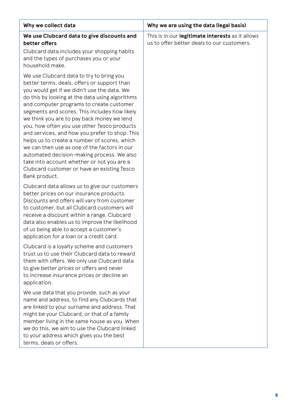| Why we collect data                                                                                                                                                                                                                                                                                                                                                                                                                                                                                                                                                                                                                                                                               | Why we are using the data (legal basis)                                                        |
|---------------------------------------------------------------------------------------------------------------------------------------------------------------------------------------------------------------------------------------------------------------------------------------------------------------------------------------------------------------------------------------------------------------------------------------------------------------------------------------------------------------------------------------------------------------------------------------------------------------------------------------------------------------------------------------------------|------------------------------------------------------------------------------------------------|
| We use Clubcard data to give discounts and<br>better offers<br>Clubcard data includes your shopping habits<br>and the types of purchases you or your<br>household make.                                                                                                                                                                                                                                                                                                                                                                                                                                                                                                                           | This is in our legitimate interests as it allows<br>us to offer better deals to our customers. |
| We use Clubcard data to try to bring you<br>better terms, deals, offers or support than<br>you would get if we didn't use the data. We<br>do this by looking at the data using algorithms<br>and computer programs to create customer<br>segments and scores. This includes how likely<br>we think you are to pay back money we lend<br>you, how often you use other Tesco products<br>and services, and how you prefer to shop. This<br>helps us to create a number of scores, which<br>we can then use as one of the factors in our<br>automated decision-making process. We also<br>take into account whether or not you are a<br>Clubcard customer or have an existing Tesco<br>Bank product. |                                                                                                |
| Clubcard data allows us to give our customers<br>better prices on our insurance products.<br>Discounts and offers will vary from customer<br>to customer, but all Clubcard customers will<br>receive a discount within a range. Clubcard<br>data also enables us to improve the likelihood<br>of us being able to accept a customer's<br>application for a loan or a credit card.                                                                                                                                                                                                                                                                                                                 |                                                                                                |
| Clubcard is a loyalty scheme and customers<br>trust us to use their Clubcard data to reward<br>them with offers. We only use Clubcard data<br>to give better prices or offers and never<br>to increase insurance prices or decline an<br>application.                                                                                                                                                                                                                                                                                                                                                                                                                                             |                                                                                                |
| We use data that you provide, such as your<br>name and address, to find any Clubcards that<br>are linked to your surname and address. That<br>might be your Clubcard, or that of a family<br>member living in the same house as you. When<br>we do this, we aim to use the Clubcard linked<br>to your address which gives you the best<br>terms, deals or offers.                                                                                                                                                                                                                                                                                                                                 |                                                                                                |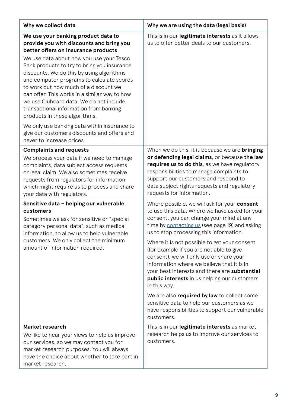| Why we collect data                                                                                                                                                                                                                                                                                                                                                                               | Why we are using the data (legal basis)                                                                                                                                                                                                                                                                    |  |
|---------------------------------------------------------------------------------------------------------------------------------------------------------------------------------------------------------------------------------------------------------------------------------------------------------------------------------------------------------------------------------------------------|------------------------------------------------------------------------------------------------------------------------------------------------------------------------------------------------------------------------------------------------------------------------------------------------------------|--|
| We use your banking product data to<br>provide you with discounts and bring you<br>better offers on insurance products                                                                                                                                                                                                                                                                            | This is in our legitimate interests as it allows<br>us to offer better deals to our customers.                                                                                                                                                                                                             |  |
| We use data about how you use your Tesco<br>Bank products to try to bring you insurance<br>discounts. We do this by using algorithms<br>and computer programs to calculate scores<br>to work out how much of a discount we<br>can offer. This works in a similar way to how<br>we use Clubcard data. We do not include<br>transactional information from banking<br>products in these algorithms. |                                                                                                                                                                                                                                                                                                            |  |
| We only use banking data within insurance to<br>give our customers discounts and offers and<br>never to increase prices.                                                                                                                                                                                                                                                                          |                                                                                                                                                                                                                                                                                                            |  |
| <b>Complaints and requests</b>                                                                                                                                                                                                                                                                                                                                                                    | When we do this, it is because we are <b>bringing</b>                                                                                                                                                                                                                                                      |  |
| We process your data if we need to manage<br>complaints, data subject access requests<br>or legal claim. We also sometimes receive<br>requests from regulators for information<br>which might require us to process and share<br>your data with regulators.                                                                                                                                       | or defending legal claims, or because the law<br>requires us to do this, as we have regulatory<br>responsibilities to manage complaints to<br>support our customers and respond to<br>data subject rights requests and regulatory<br>requests for information.                                             |  |
| Sensitive data - helping our vulnerable<br>customers<br>Sometimes we ask for sensitive or "special<br>category personal data", such as medical<br>information, to allow us to help vulnerable                                                                                                                                                                                                     | Where possible, we will ask for your consent<br>to use this data. Where we have asked for your<br>consent, you can change your mind at any<br>time by contacting us (see page 19) and asking<br>us to stop processing this information.                                                                    |  |
| customers. We only collect the minimum<br>amount of information required.                                                                                                                                                                                                                                                                                                                         | Where it is not possible to get your consent<br>(for example if you are not able to give<br>consent), we will only use or share your<br>information where we believe that it is in<br>your best interests and there are substantial<br><b>public interests</b> in us helping our customers<br>in this way. |  |
|                                                                                                                                                                                                                                                                                                                                                                                                   | We are also required by law to collect some<br>sensitive data to help our customers as we<br>have responsibilities to support our vulnerable<br>customers.                                                                                                                                                 |  |
| Market research<br>We like to hear your views to help us improve<br>our services, so we may contact you for<br>market research purposes. You will always<br>have the choice about whether to take part in<br>market research.                                                                                                                                                                     | This is in our legitimate interests as market<br>research helps us to improve our services to<br>customers.                                                                                                                                                                                                |  |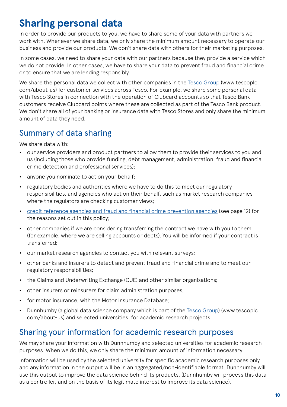## <span id="page-10-0"></span>**Sharing personal data**

In order to provide our products to you, we have to share some of your data with partners we work with. Whenever we share data, we only share the minimum amount necessary to operate our business and provide our products. We don't share data with others for their marketing purposes.

In some cases, we need to share your data with our partners because they provide a service which we do not provide. In other cases, we have to share your data to prevent fraud and financial crime or to ensure that we are lending responsibly.

We share the personal data we collect with other companies in the [Tesco Group](http://www.tescoplc.com/about-us) (www.tescoplc. com/about-us) for customer services across Tesco. For example, we share some personal data with Tesco Stores in connection with the operation of Clubcard accounts so that Tesco Bank customers receive Clubcard points where these are collected as part of the Tesco Bank product. We don't share all of your banking or insurance data with Tesco Stores and only share the minimum amount of data they need.

#### Summary of data sharing

We share data with:

- **•** our service providers and product partners to allow them to provide their services to you and us (including those who provide funding, debt management, administration, fraud and financial crime detection and professional services);
- **•** anyone you nominate to act on your behalf;
- **•** regulatory bodies and authorities where we have to do this to meet our regulatory responsibilities, and agencies who act on their behalf, such as market research companies where the regulators are checking customer views;
- **•** [credit reference agencies and fraud and financial crime prevention agencies](#page-12-0) (see page 12) for the reasons set out in this policy;
- **•** other companies if we are considering transferring the contract we have with you to them (for example, where we are selling accounts or debts). You will be informed if your contract is transferred;
- **•** our market research agencies to contact you with relevant surveys;
- **•** other banks and insurers to detect and prevent fraud and financial crime and to meet our regulatory responsibilities;
- **•** the Claims and Underwriting Exchange (CUE) and other similar organisations;
- **•** other insurers or reinsurers for claim administration purposes;
- **•** for motor insurance, with the Motor Insurance Database;
- Dunnhumby (a global data science company which is part of the <u>Tesco Group</u>) (www.tescoplc. com/about-us) and selected universities, for academic research projects.

#### Sharing your information for academic research purposes

We may share your information with Dunnhumby and selected universities for academic research purposes. When we do this, we only share the minimum amount of information necessary.

Information will be used by the selected university for specific academic research purposes only and any information in the output will be in an aggregated/non-identifiable format. Dunnhumby will use this output to improve the data science behind its products. (Dunnhumby will process this data as a controller, and on the basis of its legitimate interest to improve its data science).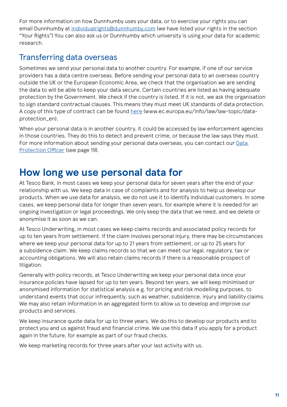<span id="page-11-0"></span>For more information on how Dunnhumby uses your data, or to exercise your rights you can email Dunnhumby at [individualrights@dunnhumby.com](mailto:individualrights%40dunnhumby.com?subject=) (we have listed your rights in the section "Your Rights") You can also ask us or Dunnhumby which university is using your data for academic research.

#### Transferring data overseas

Sometimes we send your personal data to another country. For example, if one of our service providers has a data centre overseas. Before sending your personal data to an overseas country outside the UK or the European Economic Area, we check that the organisation we are sending the data to will be able to keep your data secure. Certain countries are listed as having adequate protection by the Government. We check if the country is listed. If it is not, we ask the organisation to sign standard contractual clauses. This means they must meet UK standards of data protection. A copy of this type of contract can be found [here](https://ec.europa.eu/info/law/law-topic/data-protection_en) (www.ec.europa.eu/info/law/law-topic/dataprotection\_en).

When your personal data is in another country, it could be accessed by law enforcement agencies in those countries. They do this to detect and prevent crime, or because the law says they must. For more information about sending your personal data overseas, you can contact our [Data](#page-19-0)  [Protection Officer](#page-19-0) (see page 19).

## **How long we use personal data for**

At Tesco Bank, in most cases we keep your personal data for seven years after the end of your relationship with us. We keep data in case of complaints and for analysis to help us develop our products. When we use data for analysis, we do not use it to identify individual customers. In some cases, we keep personal data for longer than seven years, for example where it is needed for an ongoing investigation or legal proceedings. We only keep the data that we need, and we delete or anonymise it as soon as we can.

At Tesco Underwriting, in most cases we keep claims records and associated policy records for up to ten years from settlement. If the claim involves personal injury, there may be circumstances where we keep your personal data for up to 21 years from settlement, or up to 25 years for a subsidence claim. We keep claims records so that we can meet our legal, regulatory, tax or accounting obligations. We will also retain claims records if there is a reasonable prospect of litigation.

Generally with policy records, at Tesco Underwriting we keep your personal data once your insurance policies have lapsed for up to ten years. Beyond ten years, we will keep minimised or anonymised information for statistical analysis e.g. for pricing and risk modelling purposes, to understand events that occur infrequently, such as weather, subsidence, injury and liability claims. We may also retain information in an aggregated form to allow us to develop and improve our products and services.

We keep insurance quote data for up to three years. We do this to develop our products and to protect you and us against fraud and financial crime. We use this data if you apply for a product again in the future, for example as part of our fraud checks.

We keep marketing records for three years after your last activity with us.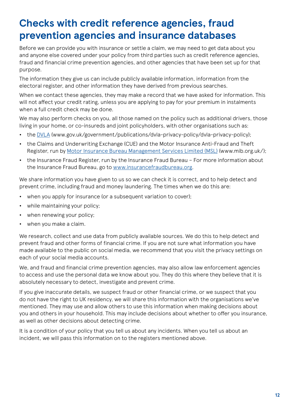## <span id="page-12-0"></span>**Checks with credit reference agencies, fraud prevention agencies and insurance databases**

Before we can provide you with insurance or settle a claim, we may need to get data about you and anyone else covered under your policy from third parties such as credit reference agencies, fraud and financial crime prevention agencies, and other agencies that have been set up for that purpose.

The information they give us can include publicly available information, information from the electoral register, and other information they have derived from previous searches.

When we contact these agencies, they may make a record that we have asked for information. This will not affect your credit rating, unless you are applying to pay for your premium in instalments when a full credit check may be done.

We may also perform checks on you, all those named on the policy such as additional drivers, those living in your home, or co-insureds and joint policyholders, with other organisations such as:

- the [DVLA](https://www.gov.uk/government/publications/dvla-privacy-policy/dvla-privacy-policy) (www.gov.uk/government/publications/dvla-privacy-policy/dvla-privacy-policy);
- **•** the Claims and Underwriting Exchange (CUE) and the Motor Insurance Anti-Fraud and Theft Register, run by [Motor Insurance Bureau Management Services Limited \(MSL\)](https://www.mib.org.uk/) (www.mib.org.uk/);
- **•** the Insurance Fraud Register, run by the Insurance Fraud Bureau For more information about the Insurance Fraud Bureau, go to [www.insurancefraudbureau.org](https://insurancefraudbureau.org/).

We share information you have given to us so we can check it is correct, and to help detect and prevent crime, including fraud and money laundering. The times when we do this are:

- when you apply for insurance (or a subsequent variation to cover):
- **•** while maintaining your policy;
- **•** when renewing your policy;
- **•** when you make a claim.

We research, collect and use data from publicly available sources. We do this to help detect and prevent fraud and other forms of financial crime. If you are not sure what information you have made available to the public on social media, we recommend that you visit the privacy settings on each of your social media accounts.

We, and fraud and financial crime prevention agencies, may also allow law enforcement agencies to access and use the personal data we know about you. They do this where they believe that it is absolutely necessary to detect, investigate and prevent crime.

If you give inaccurate details, we suspect fraud or other financial crime, or we suspect that you do not have the right to UK residency, we will share this information with the organisations we've mentioned. They may use and allow others to use this information when making decisions about you and others in your household. This may include decisions about whether to offer you insurance, as well as other decisions about detecting crime.

It is a condition of your policy that you tell us about any incidents. When you tell us about an incident, we will pass this information on to the registers mentioned above.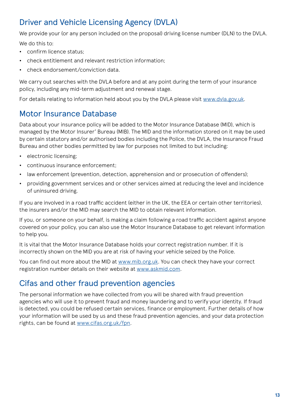### <span id="page-13-0"></span>Driver and Vehicle Licensing Agency (DVLA)

We provide your (or any person included on the proposal) driving license number (DLN) to the DVLA. We do this to:

- **•** confirm licence status;
- **•** check entitlement and relevant restriction information;
- **•** check endorsement/conviction data.

We carry out searches with the DVLA before and at any point during the term of your insurance policy, including any mid-term adjustment and renewal stage.

For details relating to information held about you by the DVLA please visit [www.dvla.gov.uk.](http://www.dvla.gov.uk)

#### Motor Insurance Database

Data about your insurance policy will be added to the Motor Insurance Database (MID), which is managed by the Motor Insurer' Bureau (MIB). The MID and the information stored on it may be used by certain statutory and/or authorised bodies including the Police, the DVLA, the Insurance Fraud Bureau and other bodies permitted by law for purposes not limited to but including:

- **•** electronic licensing;
- **•** continuous insurance enforcement;
- **•** law enforcement (prevention, detection, apprehension and or prosecution of offenders);
- **•** providing government services and or other services aimed at reducing the level and incidence of uninsured driving.

If you are involved in a road traffic accident (either in the UK, the EEA or certain other territories), the insurers and/or the MID may search the MID to obtain relevant information.

If you, or someone on your behalf, is making a claim following a road traffic accident against anyone covered on your policy, you can also use the Motor Insurance Database to get relevant information to help you.

It is vital that the Motor Insurance Database holds your correct registration number. If it is incorrectly shown on the MID you are at risk of having your vehicle seized by the Police.

You can find out more about the MID at [www.mib.org.uk](http://www.mib.org.uk). You can check they have your correct registration number details on their website at [www.askmid.com.](http://www.askmid.com)

#### Cifas and other fraud prevention agencies

The personal information we have collected from you will be shared with fraud prevention agencies who will use it to prevent fraud and money laundering and to verify your identity. If fraud is detected, you could be refused certain services, finance or employment. Further details of how your information will be used by us and these fraud prevention agencies, and your data protection rights, can be found at <www.cifas.org.uk/fpn>.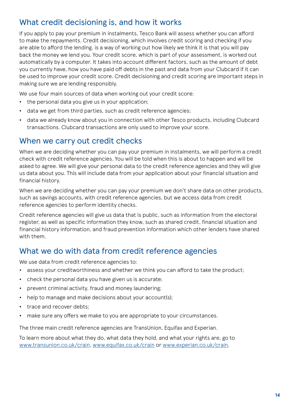#### <span id="page-14-0"></span>What credit decisioning is, and how it works

If you apply to pay your premium in instalments, Tesco Bank will assess whether you can afford to make the repayments. Credit decisioning, which involves credit scoring and checking if you are able to afford the lending, is a way of working out how likely we think it is that you will pay back the money we lend you. Your credit score, which is part of your assessment, is worked out automatically by a computer. It takes into account different factors, such as the amount of debt you currently have, how you have paid off debts in the past and data from your Clubcard if it can be used to improve your credit score. Credit decisioning and credit scoring are important steps in making sure we are lending responsibly.

We use four main sources of data when working out your credit score:

- **•** the personal data you give us in your application;
- **•** data we get from third parties, such as credit reference agencies;
- **•** data we already know about you in connection with other Tesco products, including Clubcard transactions. Clubcard transactions are only used to improve your score.

#### When we carry out credit checks

When we are deciding whether you can pay your premium in instalments, we will perform a credit check with credit reference agencies. You will be told when this is about to happen and will be asked to agree. We will give your personal data to the credit reference agencies and they will give us data about you. This will include data from your application about your financial situation and financial history.

When we are deciding whether you can pay your premium we don't share data on other products, such as savings accounts, with credit reference agencies, but we access data from credit reference agencies to perform identity checks.

Credit reference agencies will give us data that is public, such as information from the electoral register, as well as specific information they know, such as shared credit, financial situation and financial history information, and fraud prevention information which other lenders have shared with them.

#### What we do with data from credit reference agencies

We use data from credit reference agencies to:

- **•** assess your creditworthiness and whether we think you can afford to take the product;
- **•** check the personal data you have given us is accurate;
- **•** prevent criminal activity, fraud and money laundering;
- **•** help to manage and make decisions about your account(s);
- **•** trace and recover debts;
- **•** make sure any offers we make to you are appropriate to your circumstances.

The three main credit reference agencies are TransUnion, Equifax and Experian.

To learn more about what they do, what data they hold, and what your rights are, go to [www.transunion.co.uk/crain](http://www.transunion.co.uk/crain), [www.equifax.co.uk/crain](http://www.equifax.co.uk/crain) or [www.experian.co.uk/crain.](http://www.experian.co.uk/crain)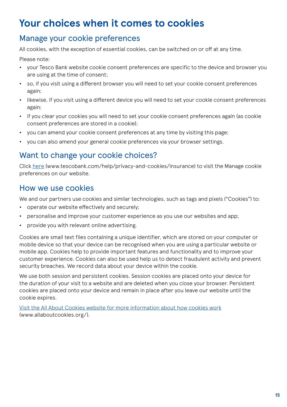## <span id="page-15-0"></span>**Your choices when it comes to cookies**

#### Manage your cookie preferences

All cookies, with the exception of essential cookies, can be switched on or off at any time.

Please note:

- **•** your Tesco Bank website cookie consent preferences are specific to the device and browser you are using at the time of consent;
- **•** so, if you visit using a different browser you will need to set your cookie consent preferences again;
- **•** likewise, if you visit using a different device you will need to set your cookie consent preferences again;
- **•** if you clear your cookies you will need to set your cookie consent preferences again (as cookie consent preferences are stored in a cookie);
- **•** you can amend your cookie consent preferences at any time by visiting this page;
- **•** you can also amend your general cookie preferences via your browser settings.

#### Want to change your cookie choices?

Click [here](http://www.tescobank.com/help/privacy-and-cookies/insurance) (www.tescobank.com/help/privacy-and-cookies/insurance) to visit the Manage cookie preferences on our website.

#### How we use cookies

We and our partners use cookies and similar technologies, such as tags and pixels ("Cookies") to:

- **•** operate our website effectively and securely;
- **•** personalise and improve your customer experience as you use our websites and app;
- **•** provide you with relevant online advertising.

Cookies are small text files containing a unique identifier, which are stored on your computer or mobile device so that your device can be recognised when you are using a particular website or mobile app. Cookies help to provide important features and functionality and to improve your customer experience. Cookies can also be used help us to detect fraudulent activity and prevent security breaches. We record data about your device within the cookie.

We use both session and persistent cookies. Session cookies are placed onto your device for the duration of your visit to a website and are deleted when you close your browser. Persistent cookies are placed onto your device and remain in place after you leave our website until the cookie expires.

[Visit the All About Cookies website for more information about how cookies work](http://www.allaboutcookies.org/) (www.allaboutcookies.org/).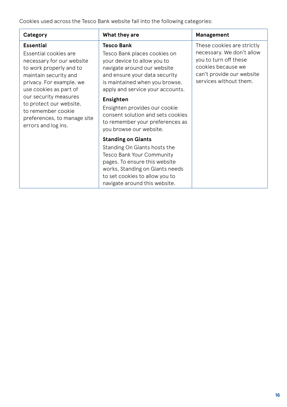Cookies used across the Tesco Bank website fall into the following categories:

| Category                                                                                                                                                                                                                                                                                                         | What they are                                                                                                                                                                                                                                                                                                                                                    | Management                                                                                                                                                    |
|------------------------------------------------------------------------------------------------------------------------------------------------------------------------------------------------------------------------------------------------------------------------------------------------------------------|------------------------------------------------------------------------------------------------------------------------------------------------------------------------------------------------------------------------------------------------------------------------------------------------------------------------------------------------------------------|---------------------------------------------------------------------------------------------------------------------------------------------------------------|
| <b>Essential</b><br>Essential cookies are<br>necessary for our website<br>to work properly and to<br>maintain security and<br>privacy. For example, we<br>use cookies as part of<br>our security measures<br>to protect our website,<br>to remember cookie<br>preferences, to manage site<br>errors and log ins. | Tesco Bank<br>Tesco Bank places cookies on<br>your device to allow you to<br>navigate around our website<br>and ensure your data security<br>is maintained when you browse,<br>apply and service your accounts.<br>Ensighten<br>Ensighten provides our cookie<br>consent solution and sets cookies<br>to remember your preferences as<br>you browse our website. | These cookies are strictly<br>necessary. We don't allow<br>you to turn off these<br>cookies because we<br>can't provide our website<br>services without them. |
|                                                                                                                                                                                                                                                                                                                  | <b>Standing on Giants</b><br>Standing On Giants hosts the<br><b>Tesco Bank Your Community</b><br>pages. To ensure this website<br>works, Standing on Giants needs<br>to set cookies to allow you to<br>navigate around this website.                                                                                                                             |                                                                                                                                                               |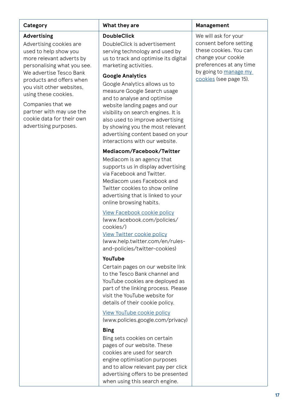#### **Advertising**

Advertising cookies are used to help show you more relevant adverts by personalising what you see. We advertise Tesco Bank products and offers when you visit other websites, using these cookies.

Companies that we partner with may use the cookie data for their own advertising purposes.

#### **DoubleClick**

DoubleClick is advertisement serving technology and used by us to track and optimise its digital marketing activities.

#### **Google Analytics**

Google Analytics allows us to measure Google Search usage and to analyse and optimise website landing pages and our visibility on search engines. It is also used to improve advertising by showing you the most relevant advertising content based on your interactions with our website.

#### **Mediacom/Facebook/Twitter**

Mediacom is an agency that supports us in display advertising via Facebook and Twitter. Mediacom uses Facebook and Twitter cookies to show online advertising that is linked to your online browsing habits.

[View Facebook cookie policy](https://www.facebook.com/policies/cookies/) (www.facebook.com/policies/

cookies/) [View Twitter cookie policy](https://help.twitter.com/en/rules-and-policies/twitter-cookies)

(www.help.twitter.com/en/rulesand-policies/twitter-cookies)

#### **YouTube**

Certain pages on our website link to the Tesco Bank channel and YouTube cookies are deployed as part of the linking process. Please visit the YouTube website for details of their cookie policy.

[View YouTube cookie policy](https://policies.google.com/privacy) (www.policies.google.com/privacy)

#### **Bing**

Bing sets cookies on certain pages of our website. These cookies are used for search engine optimisation purposes and to allow relevant pay per click advertising offers to be presented when using this search engine.

#### **Category What they are Management**

We will ask for your consent before setting these cookies. You can change your cookie preferences at any time by going to [manage my](#page-15-0)  [cookies](#page-15-0) (see page 15).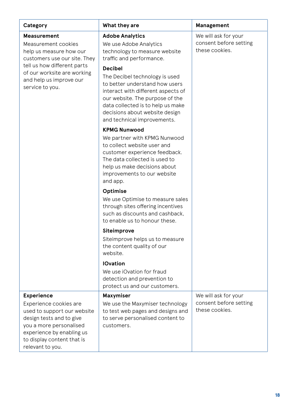| Category                                                                                                                                                                                                         | What they are                                                                                                                                                                                                                                                                                                                                                                                                                                                                                                                                                              | Management                                                       |
|------------------------------------------------------------------------------------------------------------------------------------------------------------------------------------------------------------------|----------------------------------------------------------------------------------------------------------------------------------------------------------------------------------------------------------------------------------------------------------------------------------------------------------------------------------------------------------------------------------------------------------------------------------------------------------------------------------------------------------------------------------------------------------------------------|------------------------------------------------------------------|
| <b>Measurement</b><br>Measurement cookies<br>help us measure how our<br>customers use our site. They<br>tell us how different parts<br>of our worksite are working<br>and help us improve our<br>service to you. | <b>Adobe Analytics</b><br>We use Adobe Analytics<br>technology to measure website<br>traffic and performance.<br><b>Decibel</b><br>The Decibel technology is used<br>to better understand how users<br>interact with different aspects of<br>our website. The purpose of the<br>data collected is to help us make<br>decisions about website design<br>and technical improvements.<br><b>KPMG Nunwood</b><br>We partner with KPMG Nunwood<br>to collect website user and<br>customer experience feedback.<br>The data collected is used to<br>help us make decisions about | We will ask for your<br>consent before setting<br>these cookies. |
|                                                                                                                                                                                                                  | improvements to our website<br>and app.<br>Optimise<br>We use Optimise to measure sales<br>through sites offering incentives<br>such as discounts and cashback.<br>to enable us to honour these.<br>Siteimprove<br>Siteimprove helps us to measure<br>the content quality of our<br>website.                                                                                                                                                                                                                                                                               |                                                                  |
|                                                                                                                                                                                                                  | <b>IOvation</b><br>We use iOvation for fraud<br>detection and prevention to<br>protect us and our customers.                                                                                                                                                                                                                                                                                                                                                                                                                                                               |                                                                  |
| <b>Experience</b><br>Experience cookies are<br>used to support our website<br>design tests and to give<br>you a more personalised<br>experience by enabling us<br>to display content that is<br>relevant to you. | Maxymiser<br>We use the Maxymiser technology<br>to test web pages and designs and<br>to serve personalised content to<br>customers.                                                                                                                                                                                                                                                                                                                                                                                                                                        | We will ask for your<br>consent before setting<br>these cookies. |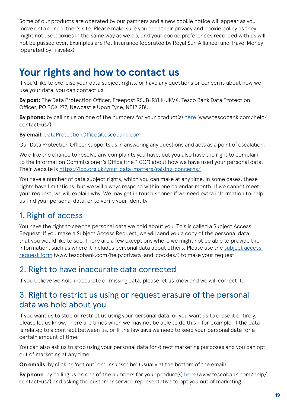<span id="page-19-0"></span>Some of our products are operated by our partners and a new cookie notice will appear as you move onto our partner's site. Please make sure you read their privacy and cookie policy as they might not use cookies in the same way as we do, and your cookie preferences recorded with us will not be passed over. Examples are Pet Insurance (operated by Royal Sun Alliance) and Travel Money (operated by Travelex).

## **Your rights and how to contact us**

If you'd like to exercise your data subject rights, or have any questions or concerns about how we use your data, you can contact us:

**By post:** The Data Protection Officer, Freepost RSJB-RYLK-JKVX, Tesco Bank Data Protection Officer, PO BOX 277, Newcastle Upon Tyne, NE12 2BU.

**By phone:** by calling us on one of the numbers for your product(s) [here](https://www.tescobank.com/help/contact-us/) (www.tescobank.com/help/ contact-us/).

**By email:** [DataProtectionOffice@tescobank.com](mailto:DataProtectionOffice%40tescobank.com?subject=)

Our Data Protection Officer supports us in answering any questions and acts as a point of escalation.

We'd like the chance to resolve any complaints you have, but you also have the right to complain to the Information Commissioner's Office (the "ICO") about how we have used your personal data. Their website is <https://ico.org.uk/your-data-matters/raising-concerns/>

You have a number of data subject rights, which you can make at any time. In some cases, these rights have limitations, but we will always respond within one calendar month. If we cannot meet your request, we will explain why. We may get in touch sooner if we need extra information to help us find your personal data, or to verify your identity.

#### 1. Right of access

You have the right to see the personal data we hold about you. This is called a Subject Access Request. If you make a Subject Access Request, we will send you a copy of the personal data that you would like to see. There are a few exceptions where we might not be able to provide the information, such as where it includes personal data about others. Please use the [subject access](https://www.tescobank.com/help/privacy-and-cookies/)  [request form](https://www.tescobank.com/help/privacy-and-cookies/) (www.tescobank.com/help/privacy-and-cookies/) to make your request.

#### 2. Right to have inaccurate data corrected

If you believe we hold inaccurate or missing data, please let us know and we will correct it.

#### 3. Right to restrict us using or request erasure of the personal data we hold about you

If you want us to stop or restrict us using your personal data, or you want us to erase it entirely, please let us know. There are times when we may not be able to do this – for example, if the data is related to a contract between us, or if the law says we need to keep your personal data for a certain amount of time.

You can also ask us to stop using your personal data for direct marketing purposes and you can opt out of marketing at any time:

**On emails**: by clicking 'opt out' or 'unsubscribe' (usually at the bottom of the email).

**By phone**: by calling us on one of the numbers for your product(s) [here](https://www.tescobank.com/help/contact-us/) (www.tescobank.com/help/ contact-us/) and asking the customer service representative to opt you out of marketing.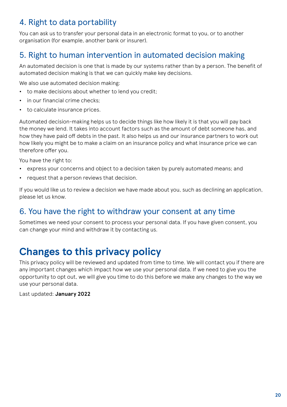### <span id="page-20-0"></span>4. Right to data portability

You can ask us to transfer your personal data in an electronic format to you, or to another organisation (for example, another bank or insurer).

### 5. Right to human intervention in automated decision making

An automated decision is one that is made by our systems rather than by a person. The benefit of automated decision making is that we can quickly make key decisions.

We also use automated decision making:

- **•** to make decisions about whether to lend you credit;
- **•** in our financial crime checks;
- **•** to calculate insurance prices.

Automated decision-making helps us to decide things like how likely it is that you will pay back the money we lend. It takes into account factors such as the amount of debt someone has, and how they have paid off debts in the past. It also helps us and our insurance partners to work out how likely you might be to make a claim on an insurance policy and what insurance price we can therefore offer you.

You have the right to:

- **•** express your concerns and object to a decision taken by purely automated means; and
- **•** request that a person reviews that decision.

If you would like us to review a decision we have made about you, such as declining an application, please let us know.

#### 6. You have the right to withdraw your consent at any time

Sometimes we need your consent to process your personal data. If you have given consent, you can change your mind and withdraw it by contacting us.

## **Changes to this privacy policy**

This privacy policy will be reviewed and updated from time to time. We will contact you if there are any important changes which impact how we use your personal data. If we need to give you the opportunity to opt out, we will give you time to do this before we make any changes to the way we use your personal data.

Last updated: **January 2022**